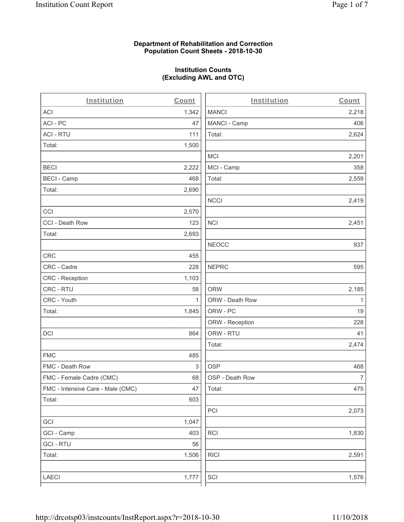# **Department of Rehabilitation and Correction Population Count Sheets - 2018-10-30**

# **Institution Counts (Excluding AWL and OTC)**

. .

| Institution                       | Count        | Institution     | Count        |
|-----------------------------------|--------------|-----------------|--------------|
| ACI                               | 1,342        | <b>MANCI</b>    | 2,218        |
| ACI-PC                            | 47           | MANCI - Camp    | 406          |
| <b>ACI - RTU</b>                  | 111          | Total:          | 2,624        |
| Total:                            | 1,500        |                 |              |
|                                   |              | <b>MCI</b>      | 2,201        |
| <b>BECI</b>                       | 2,222        | MCI - Camp      | 358          |
| <b>BECI - Camp</b>                | 468          | Total:          | 2,559        |
| Total:                            | 2,690        |                 |              |
|                                   |              | <b>NCCI</b>     | 2,419        |
| CCI                               | 2,570        |                 |              |
| CCI - Death Row                   | 123          | <b>NCI</b>      | 2,451        |
| Total:                            | 2,693        |                 |              |
|                                   |              | <b>NEOCC</b>    | 937          |
| <b>CRC</b>                        | 455          |                 |              |
| CRC - Cadre                       | 228          | <b>NEPRC</b>    | 595          |
| CRC - Reception                   | 1,103        |                 |              |
| CRC - RTU                         | 58           | <b>ORW</b>      | 2,185        |
| CRC - Youth                       | $\mathbf{1}$ | ORW - Death Row | $\mathbf{1}$ |
| Total:                            | 1,845        | ORW - PC        | 19           |
|                                   |              | ORW - Reception | 228          |
| DCI                               | 864          | ORW - RTU       | 41           |
|                                   |              | Total:          | 2,474        |
| <b>FMC</b>                        | 485          |                 |              |
| FMC - Death Row                   | 3            | <b>OSP</b>      | 468          |
| FMC - Female Cadre (CMC)          | 68           | OSP - Death Row | 7            |
| FMC - Intensive Care - Male (CMC) | 47           | Total:          | 475          |
| Total:                            | 603          |                 |              |
|                                   |              | PCI             | 2,073        |
| GCI                               | 1,047        |                 |              |
| GCI - Camp                        | 403          | RCI             | 1,830        |
| <b>GCI - RTU</b>                  | 56           |                 |              |
| Total:                            | 1,506        | <b>RICI</b>     | 2,591        |
|                                   |              |                 |              |
| LAECI                             | 1,777        | SCI             | 1,576        |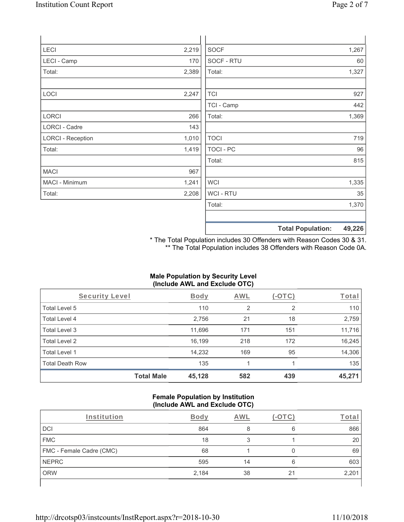| LECI                     | 2,219 | <b>SOCF</b>      | 1,267                              |
|--------------------------|-------|------------------|------------------------------------|
| LECI - Camp              | 170   | SOCF - RTU       | 60                                 |
| Total:                   | 2,389 | Total:           | 1,327                              |
|                          |       |                  |                                    |
| LOCI                     | 2,247 | <b>TCI</b>       | 927                                |
|                          |       | TCI - Camp       | 442                                |
| LORCI                    | 266   | Total:           | 1,369                              |
| LORCI - Cadre            | 143   |                  |                                    |
| <b>LORCI - Reception</b> | 1,010 | <b>TOCI</b>      | 719                                |
| Total:                   | 1,419 | <b>TOCI - PC</b> | 96                                 |
|                          |       | Total:           | 815                                |
| <b>MACI</b>              | 967   |                  |                                    |
| MACI - Minimum           | 1,241 | <b>WCI</b>       | 1,335                              |
| Total:                   | 2,208 | WCI - RTU        | 35                                 |
|                          |       | Total:           | 1,370                              |
|                          |       |                  |                                    |
|                          |       |                  | <b>Total Population:</b><br>49,226 |

\* The Total Population includes 30 Offenders with Reason Codes 30 & 31. \*\* The Total Population includes 38 Offenders with Reason Code 0A.

# **Male Population by Security Level (Include AWL and Exclude OTC)**

| Security Level         |                   | <b>Body</b> | <b>AWL</b> | (-OTC) | <u>Total</u> |
|------------------------|-------------------|-------------|------------|--------|--------------|
| Total Level 5          |                   | 110         | 2          | 2      | 110          |
| Total Level 4          |                   | 2,756       | 21         | 18     | 2,759        |
| Total Level 3          |                   | 11,696      | 171        | 151    | 11,716       |
| Total Level 2          |                   | 16,199      | 218        | 172    | 16,245       |
| Total Level 1          |                   | 14,232      | 169        | 95     | 14,306       |
| <b>Total Death Row</b> |                   | 135         |            |        | 135          |
|                        | <b>Total Male</b> | 45,128      | 582        | 439    | 45,271       |

#### **Female Population by Institution (Include AWL and Exclude OTC)**

| Institution              | Bodv  | AWL |    | Гоtа  |
|--------------------------|-------|-----|----|-------|
| DCI                      | 864   |     | 6  | 866   |
| <b>FMC</b>               | 18    |     |    | 20    |
| FMC - Female Cadre (CMC) | 68    |     |    | 69    |
| <b>NEPRC</b>             | 595   | 14  | 6  | 603   |
| <b>ORW</b>               | 2,184 | 38  | 21 | 2,201 |
|                          |       |     |    |       |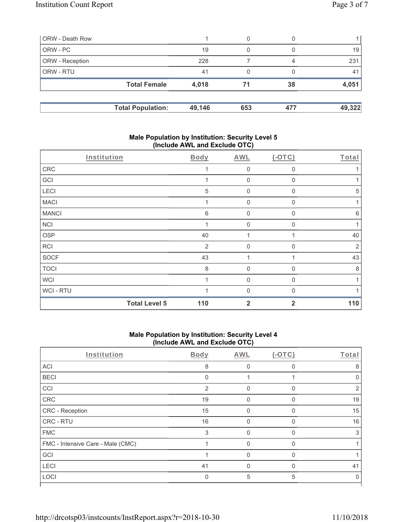| ORW - Death Row        |                          |        | 0   |     |        |
|------------------------|--------------------------|--------|-----|-----|--------|
| ORW - PC               |                          | 19     | 0   |     | 19     |
| <b>ORW</b> - Reception |                          | 228    |     | 4   | 231    |
| <b>ORW - RTU</b>       |                          | 41     | 0   |     | 41     |
|                        | <b>Total Female</b>      | 4,018  | 71  | 38  | 4,051  |
|                        | <b>Total Population:</b> | 49,146 | 653 | 477 | 49,322 |

# **Male Population by Institution: Security Level 5 (Include AWL and Exclude OTC)**

| Institution  |                      | Body           | <b>AWL</b>     | $(-OTC)$     | Total          |
|--------------|----------------------|----------------|----------------|--------------|----------------|
| ${\sf CRC}$  |                      |                | $\mathbf 0$    | 0            |                |
| GCI          |                      |                | $\mathbf 0$    | 0            | 1              |
| LECI         |                      | 5              | $\mathbf 0$    | 0            | 5              |
| <b>MACI</b>  |                      | 1              | $\mathbf 0$    | $\Omega$     | $\mathbf{1}$   |
| <b>MANCI</b> |                      | 6              | $\mathbf 0$    | 0            | $\,6$          |
| <b>NCI</b>   |                      | 1              | $\mathbf 0$    | 0            | 1              |
| <b>OSP</b>   |                      | 40             | $\mathbf{1}$   |              | 40             |
| RCI          |                      | $\overline{2}$ | $\mathbf 0$    | $\mathbf{0}$ | $\overline{2}$ |
| <b>SOCF</b>  |                      | 43             | 1              |              | 43             |
| <b>TOCI</b>  |                      | 8              | $\overline{0}$ | $\Omega$     | 8              |
| <b>WCI</b>   |                      | 4              | $\overline{0}$ | $\Omega$     | 1              |
| WCI - RTU    |                      |                | $\overline{0}$ | $\Omega$     |                |
|              | <b>Total Level 5</b> | 110            | $\overline{2}$ | $\mathbf{2}$ | 110            |

# **Male Population by Institution: Security Level 4 (Include AWL and Exclude OTC)**

| Institution                       | Body           | AWL      | $(-OTC)$ | Total |
|-----------------------------------|----------------|----------|----------|-------|
| ACI                               | 8              | 0        | 0        | 8     |
| <b>BECI</b>                       | $\Omega$       |          |          |       |
| CCI                               | $\overline{2}$ | O        | $\Omega$ | 2     |
| ${\sf CRC}$                       | 19             | $\Omega$ | $\Omega$ | 19    |
| CRC - Reception                   | 15             | $\Omega$ | 0        | 15    |
| CRC - RTU                         | 16             | $\Omega$ | $\Omega$ | 16    |
| <b>FMC</b>                        | 3              | 0        | $\Omega$ | 3     |
| FMC - Intensive Care - Male (CMC) |                | U        | $\Omega$ |       |
| GCI                               |                | O        | $\Omega$ |       |
| LECI                              | 41             | $\Omega$ | $\Omega$ | 41    |
| LOCI                              | $\mathbf{0}$   | 5        | 5        | O     |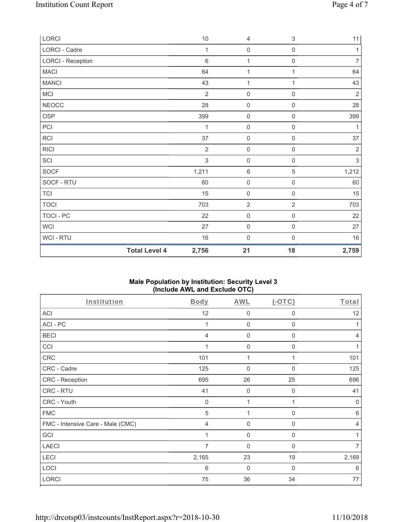| LORCI             |                      | $10$           | $\overline{4}$      | $\,$ 3 $\,$         | 11             |
|-------------------|----------------------|----------------|---------------------|---------------------|----------------|
| LORCI - Cadre     |                      | 1              | $\mathsf{O}\xspace$ | $\mathsf{O}\xspace$ | 1              |
| LORCI - Reception |                      | $\,6$          | $\mathbf{1}$        | $\mathsf{O}\xspace$ | $\overline{7}$ |
| <b>MACI</b>       |                      | 64             | $\mathbf{1}$        | 1                   | 64             |
| <b>MANCI</b>      |                      | 43             | 1                   | 1                   | 43             |
| MCI               |                      | $\overline{2}$ | $\mathsf{O}\xspace$ | $\mathsf{O}\xspace$ | $\sqrt{2}$     |
| <b>NEOCC</b>      |                      | 28             | $\mathsf 0$         | $\mathsf{O}\xspace$ | 28             |
| <b>OSP</b>        |                      | 399            | $\mathsf 0$         | $\boldsymbol{0}$    | 399            |
| PCI               |                      | 1              | $\mathsf{O}\xspace$ | $\mathsf{O}\xspace$ | 1              |
| <b>RCI</b>        |                      | 37             | $\mathsf{O}\xspace$ | $\mathsf{O}\xspace$ | 37             |
| <b>RICI</b>       |                      | $\overline{2}$ | $\mathbf 0$         | $\mathsf{O}\xspace$ | $\sqrt{2}$     |
| SCI               |                      | $\mathfrak{S}$ | $\mathsf{O}\xspace$ | $\mathsf{O}\xspace$ | $\sqrt{3}$     |
| SOCF              |                      | 1,211          | $\,6\,$             | $\sqrt{5}$          | 1,212          |
| SOCF - RTU        |                      | 60             | $\mathsf{O}\xspace$ | $\mathsf{O}\xspace$ | 60             |
| <b>TCI</b>        |                      | 15             | $\mathsf 0$         | $\boldsymbol{0}$    | 15             |
| <b>TOCI</b>       |                      | 703            | $\overline{2}$      | $\overline{2}$      | 703            |
| <b>TOCI - PC</b>  |                      | 22             | $\mathsf{O}\xspace$ | $\mathsf{O}\xspace$ | 22             |
| <b>WCI</b>        |                      | 27             | $\mathsf 0$         | $\mathbf 0$         | 27             |
| WCI-RTU           |                      | 16             | $\mathsf{O}\xspace$ | $\mathsf{O}\xspace$ | 16             |
|                   | <b>Total Level 4</b> | 2,756          | 21                  | 18                  | 2,759          |

# **Male Population by Institution: Security Level 3 (Include AWL and Exclude OTC)**

| Institution                       | Body           | AWL            | $(-OTC)$     | Total          |
|-----------------------------------|----------------|----------------|--------------|----------------|
| ACI                               | 12             | 0              | 0            | 12             |
| ACI-PC                            |                | $\mathbf 0$    | 0            | 1              |
| <b>BECI</b>                       | 4              | 0              | 0            | $\overline{4}$ |
| CCI                               | 1              | $\mathbf 0$    | $\mathbf 0$  | 1              |
| CRC                               | 101            | 1              |              | 101            |
| CRC - Cadre                       | 125            | 0              | $\mathbf{0}$ | 125            |
| CRC - Reception                   | 695            | 26             | 25           | 696            |
| CRC - RTU                         | 41             | $\mathbf 0$    | $\mathbf 0$  | 41             |
| CRC - Youth                       | $\mathbf 0$    | 1              | $\mathbf{1}$ | $\mathbf 0$    |
| <b>FMC</b>                        | 5              | 1              | 0            | 6              |
| FMC - Intensive Care - Male (CMC) | $\overline{4}$ | $\overline{0}$ | $\mathbf{0}$ | $\overline{4}$ |
| GCI                               |                | 0              | 0            |                |
| <b>LAECI</b>                      | 7              | 0              | 0            | $\overline{7}$ |
| LECI                              | 2,165          | 23             | 19           | 2,169          |
| LOCI                              | 6              | $\overline{0}$ | $\mathbf 0$  | 6              |
| LORCI                             | 75             | 36             | 34           | 77             |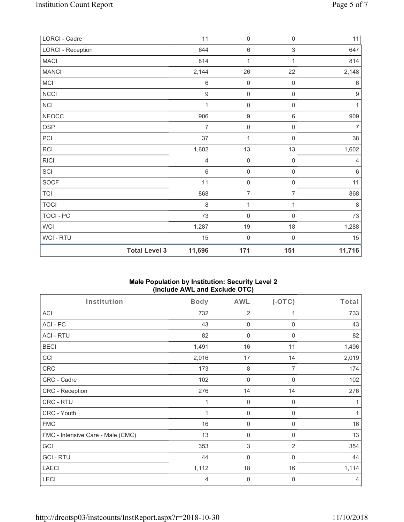| LORCI - Cadre            |                      | 11               | $\mathsf{O}\xspace$ | $\mathsf{O}\xspace$ | 11               |
|--------------------------|----------------------|------------------|---------------------|---------------------|------------------|
| <b>LORCI - Reception</b> |                      | 644              | $\,6\,$             | $\,$ 3 $\,$         | 647              |
| <b>MACI</b>              |                      | 814              | 1                   | 1                   | 814              |
| <b>MANCI</b>             |                      | 2,144            | 26                  | 22                  | 2,148            |
| MCI                      |                      | 6                | $\mathsf{O}\xspace$ | $\mathsf{O}\xspace$ | 6                |
| <b>NCCI</b>              |                      | $\boldsymbol{9}$ | $\mathsf 0$         | $\mathsf{O}\xspace$ | $\boldsymbol{9}$ |
| NCI                      |                      | 1                | $\mathsf 0$         | $\mathsf{O}\xspace$ | 1                |
| <b>NEOCC</b>             |                      | 906              | $\boldsymbol{9}$    | $\,6$               | 909              |
| <b>OSP</b>               |                      | 7                | $\mathsf{O}\xspace$ | $\mathsf{O}\xspace$ | $\overline{7}$   |
| PCI                      |                      | 37               | $\mathbf{1}$        | $\mathsf{O}\xspace$ | 38               |
| RCI                      |                      | 1,602            | 13                  | 13                  | 1,602            |
| <b>RICI</b>              |                      | $\overline{4}$   | $\mathsf{O}\xspace$ | $\mathsf{O}\xspace$ | $\overline{4}$   |
| SCI                      |                      | $\,6\,$          | $\mathsf{O}\xspace$ | $\mathsf 0$         | $\,6\,$          |
| <b>SOCF</b>              |                      | 11               | $\mathsf{O}\xspace$ | $\mathsf{O}\xspace$ | 11               |
| <b>TCI</b>               |                      | 868              | $\overline{7}$      | 7                   | 868              |
| <b>TOCI</b>              |                      | 8                | 1                   | 1                   | $\,8\,$          |
| <b>TOCI - PC</b>         |                      | 73               | $\mathsf{O}\xspace$ | $\mathsf{O}\xspace$ | $73\,$           |
| <b>WCI</b>               |                      | 1,287            | 19                  | 18                  | 1,288            |
| WCI - RTU                |                      | 15               | $\mathbf 0$         | $\mathsf{O}\xspace$ | 15               |
|                          | <b>Total Level 3</b> | 11,696           | 171                 | 151                 | 11,716           |

# **Male Population by Institution: Security Level 2 (Include AWL and Exclude OTC)**

| Institution                       | <b>Body</b> | <b>AWL</b>                | $(-OTC)$       | Total |
|-----------------------------------|-------------|---------------------------|----------------|-------|
| <b>ACI</b>                        | 732         | $\overline{2}$            |                | 733   |
| ACI-PC                            | 43          | $\mathbf 0$               | $\mathbf 0$    | 43    |
| <b>ACI - RTU</b>                  | 82          | $\mathbf 0$               | $\mathbf 0$    | 82    |
| <b>BECI</b>                       | 1,491       | 16                        | 11             | 1,496 |
| CCI                               | 2,016       | 17                        | 14             | 2,019 |
| CRC                               | 173         | 8                         | 7              | 174   |
| CRC - Cadre                       | 102         | $\mathbf 0$               | 0              | 102   |
| CRC - Reception                   | 276         | 14                        | 14             | 276   |
| CRC - RTU                         | 1           | $\mathbf 0$               | $\mathbf 0$    | 1     |
| CRC - Youth                       | $\mathbf 1$ | $\mathbf 0$               | $\mathbf 0$    | 1     |
| <b>FMC</b>                        | 16          | $\mathbf 0$               | 0              | 16    |
| FMC - Intensive Care - Male (CMC) | 13          | 0                         | $\mathbf 0$    | 13    |
| GCI                               | 353         | $\ensuremath{\mathsf{3}}$ | $\overline{2}$ | 354   |
| <b>GCI-RTU</b>                    | 44          | $\mathbf 0$               | $\mathbf 0$    | 44    |
| <b>LAECI</b>                      | 1,112       | 18                        | 16             | 1,114 |
| LECI                              | 4           | $\mathbf 0$               | $\mathbf 0$    | 4     |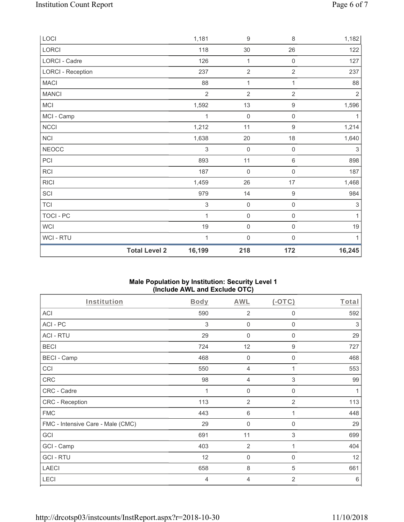|                          | <b>Total Level 2</b> | 16,199         | 218              | 172                 | 16,245         |
|--------------------------|----------------------|----------------|------------------|---------------------|----------------|
| WCI - RTU                |                      | 1              | $\boldsymbol{0}$ | $\mathbf 0$         | $\mathbf{1}$   |
| <b>WCI</b>               |                      | 19             | $\mathbf 0$      | 0                   | $19$           |
| <b>TOCI - PC</b>         |                      | 1              | $\mathbf 0$      | 0                   | 1              |
| <b>TCI</b>               |                      | 3              | $\mathbf 0$      | $\mathsf{O}\xspace$ | 3              |
| SCI                      |                      | 979            | 14               | $\boldsymbol{9}$    | 984            |
| <b>RICI</b>              |                      | 1,459          | 26               | 17                  | 1,468          |
| RCI                      |                      | 187            | $\mathbf 0$      | $\mathsf{O}\xspace$ | 187            |
| PCI                      |                      | 893            | 11               | $\,6\,$             | 898            |
| <b>NEOCC</b>             |                      | 3              | $\mathbf 0$      | $\mathsf{O}\xspace$ | 3              |
| NCI                      |                      | 1,638          | $20\,$           | 18                  | 1,640          |
| <b>NCCI</b>              |                      | 1,212          | 11               | $\boldsymbol{9}$    | 1,214          |
| MCI - Camp               |                      |                | $\boldsymbol{0}$ | 0                   | 1              |
| MCI                      |                      | 1,592          | 13               | $\boldsymbol{9}$    | 1,596          |
| <b>MANCI</b>             |                      | $\overline{2}$ | $\sqrt{2}$       | $\sqrt{2}$          | $\overline{2}$ |
| <b>MACI</b>              |                      | 88             | 1                | 1                   | 88             |
| <b>LORCI - Reception</b> |                      | 237            | $\overline{2}$   | 2                   | 237            |
| LORCI - Cadre            |                      | 126            | 1                | $\mathsf{O}\xspace$ | 127            |
| LORCI                    |                      | 118            | $30\,$           | 26                  | 122            |
| LOCI                     |                      | 1,181          | $\boldsymbol{9}$ | 8                   | 1,182          |

# **Male Population by Institution: Security Level 1 (Include AWL and Exclude OTC)**

| Institution                       | Body | <b>AWL</b>      | $(-OTC)$       | Total |
|-----------------------------------|------|-----------------|----------------|-------|
| <b>ACI</b>                        | 590  | $\overline{2}$  | 0              | 592   |
| ACI-PC                            | 3    | $\mathbf 0$     | $\mathbf 0$    | 3     |
| <b>ACI - RTU</b>                  | 29   | 0               | $\mathbf 0$    | 29    |
| <b>BECI</b>                       | 724  | 12              | 9              | 727   |
| <b>BECI - Camp</b>                | 468  | $\mathbf 0$     | 0              | 468   |
| CCI                               | 550  | 4               |                | 553   |
| <b>CRC</b>                        | 98   | 4               | 3              | 99    |
| CRC - Cadre                       | 1    | $\mathbf 0$     | $\mathbf 0$    | 1     |
| CRC - Reception                   | 113  | $\overline{2}$  | $\overline{2}$ | 113   |
| <b>FMC</b>                        | 443  | $6\phantom{1}6$ | 1              | 448   |
| FMC - Intensive Care - Male (CMC) | 29   | $\mathbf 0$     | 0              | 29    |
| GCI                               | 691  | 11              | 3              | 699   |
| GCI - Camp                        | 403  | $\overline{2}$  | 1              | 404   |
| <b>GCI-RTU</b>                    | 12   | $\mathbf 0$     | 0              | 12    |
| <b>LAECI</b>                      | 658  | 8               | 5              | 661   |
| LECI                              | 4    | 4               | 2              | 6     |